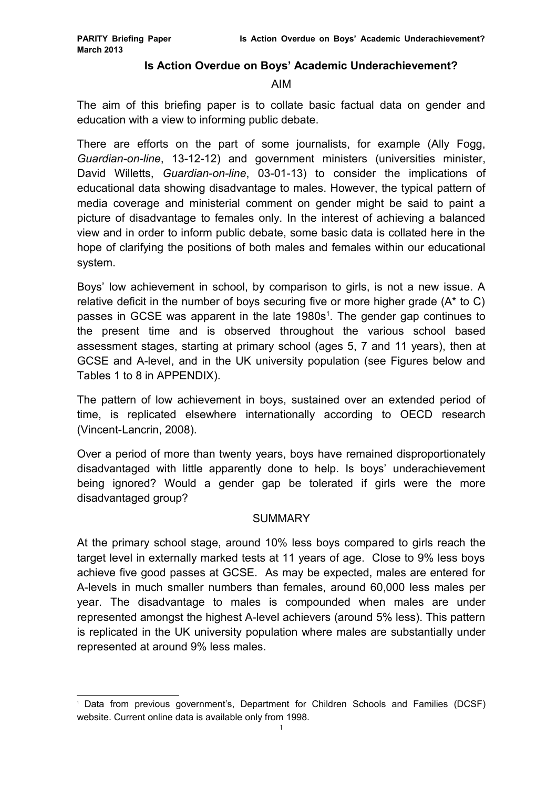#### **Is Action Overdue on Boys' Academic Underachievement?**

#### AIM

The aim of this briefing paper is to collate basic factual data on gender and education with a view to informing public debate.

There are efforts on the part of some journalists, for example (Ally Fogg, *Guardian-on-line*, 13-12-12) and government ministers (universities minister, David Willetts, *Guardian-on-line*, 03-01-13) to consider the implications of educational data showing disadvantage to males. However, the typical pattern of media coverage and ministerial comment on gender might be said to paint a picture of disadvantage to females only. In the interest of achieving a balanced view and in order to inform public debate, some basic data is collated here in the hope of clarifying the positions of both males and females within our educational system.

Boys' low achievement in school, by comparison to girls, is not a new issue. A relative deficit in the number of boys securing five or more higher grade (A\* to C) passes in GCSE was apparent in the late [1](#page-0-0)980s<sup>1</sup>. The gender gap continues to the present time and is observed throughout the various school based assessment stages, starting at primary school (ages 5, 7 and 11 years), then at GCSE and A-level, and in the UK university population (see Figures below and Tables 1 to 8 in APPENDIX).

The pattern of low achievement in boys, sustained over an extended period of time, is replicated elsewhere internationally according to OECD research (Vincent-Lancrin, 2008).

Over a period of more than twenty years, boys have remained disproportionately disadvantaged with little apparently done to help. Is boys' underachievement being ignored? Would a gender gap be tolerated if girls were the more disadvantaged group?

### **SUMMARY**

At the primary school stage, around 10% less boys compared to girls reach the target level in externally marked tests at 11 years of age. Close to 9% less boys achieve five good passes at GCSE. As may be expected, males are entered for A-levels in much smaller numbers than females, around 60,000 less males per year. The disadvantage to males is compounded when males are under represented amongst the highest A-level achievers (around 5% less). This pattern is replicated in the UK university population where males are substantially under represented at around 9% less males.

<span id="page-0-0"></span><sup>1</sup> Data from previous government's, Department for Children Schools and Families (DCSF) website. Current online data is available only from 1998.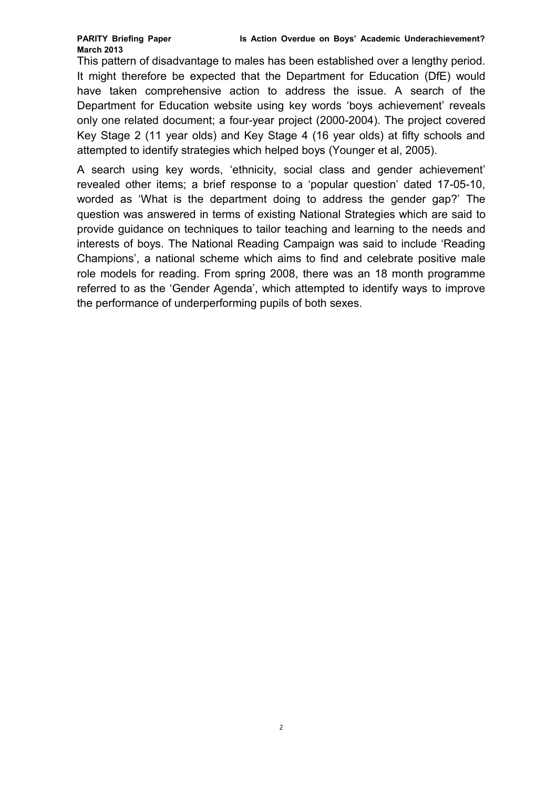This pattern of disadvantage to males has been established over a lengthy period. It might therefore be expected that the Department for Education (DfE) would have taken comprehensive action to address the issue. A search of the Department for Education website using key words 'boys achievement' reveals only one related document; a four-year project (2000-2004). The project covered Key Stage 2 (11 year olds) and Key Stage 4 (16 year olds) at fifty schools and attempted to identify strategies which helped boys (Younger et al, 2005).

A search using key words, 'ethnicity, social class and gender achievement' revealed other items; a brief response to a 'popular question' dated 17-05-10, worded as 'What is the department doing to address the gender gap?' The question was answered in terms of existing National Strategies which are said to provide guidance on techniques to tailor teaching and learning to the needs and interests of boys. The National Reading Campaign was said to include 'Reading Champions', a national scheme which aims to find and celebrate positive male role models for reading. From spring 2008, there was an 18 month programme referred to as the 'Gender Agenda', which attempted to identify ways to improve the performance of underperforming pupils of both sexes.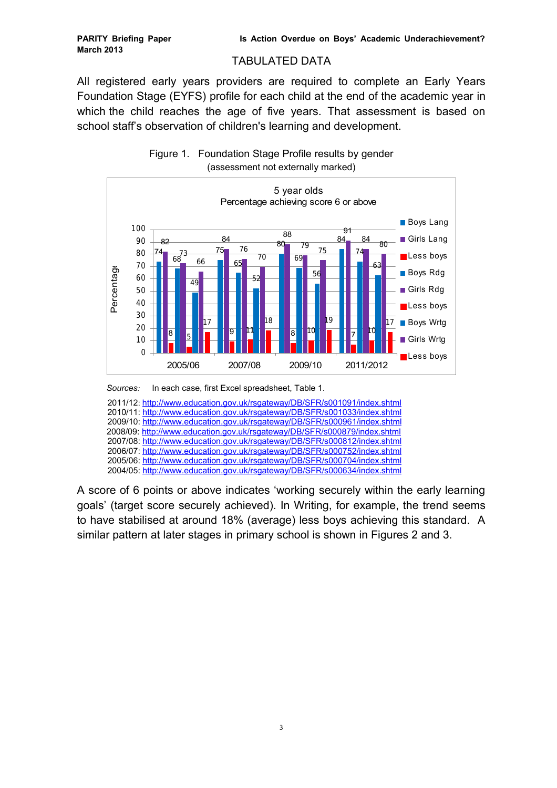#### TABULATED DATA

All registered early years providers are required to complete an Early Years Foundation Stage (EYFS) profile for each child at the end of the academic year in which the child reaches the age of five years. That assessment is based on school staff's observation of children's learning and development.





 2011/12: <http://www.education.gov.uk/rsgateway/DB/SFR/s001091/index.shtml> 2010/11:<http://www.education.gov.uk/rsgateway/DB/SFR/s001033/index.shtml> 2009/10:<http://www.education.gov.uk/rsgateway/DB/SFR/s000961/index.shtml> 2008/09:<http://www.education.gov.uk/rsgateway/DB/SFR/s000879/index.shtml> 2007/08:<http://www.education.gov.uk/rsgateway/DB/SFR/s000812/index.shtml> 2006/07:<http://www.education.gov.uk/rsgateway/DB/SFR/s000752/index.shtml> 2005/06:<http://www.education.gov.uk/rsgateway/DB/SFR/s000704/index.shtml> 2004/05:<http://www.education.gov.uk/rsgateway/DB/SFR/s000634/index.shtml>

A score of 6 points or above indicates 'working securely within the early learning goals' (target score securely achieved). In Writing, for example, the trend seems to have stabilised at around 18% (average) less boys achieving this standard. A similar pattern at later stages in primary school is shown in Figures 2 and 3.

*Sources:* In each case, first Excel spreadsheet, Table 1.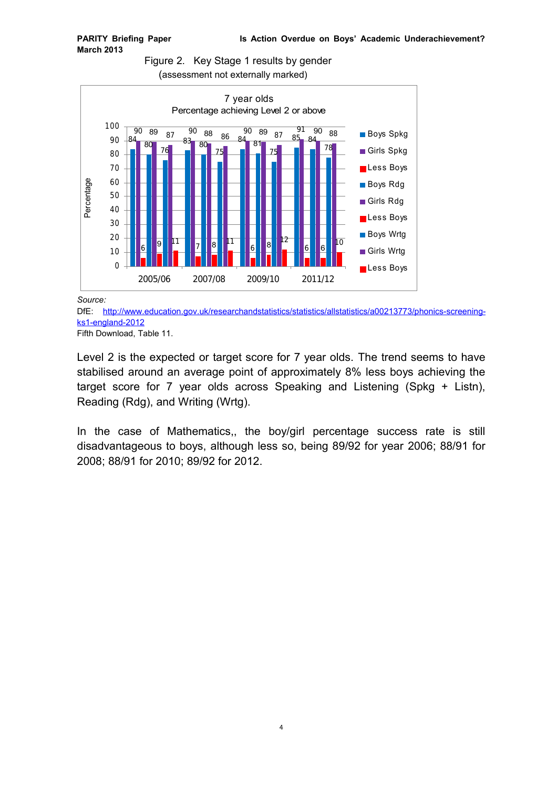



#### *Source:*

DfE: [http://www.education.gov.uk/researchandstatistics/statistics/allstatistics/a00213773/phonics-screening](http://www.education.gov.uk/researchandstatistics/statistics/allstatistics/a00213773/phonics-screening-ks1-england-2012)[ks1-england-2012](http://www.education.gov.uk/researchandstatistics/statistics/allstatistics/a00213773/phonics-screening-ks1-england-2012)

Fifth Download, Table 11.

Level 2 is the expected or target score for 7 year olds. The trend seems to have stabilised around an average point of approximately 8% less boys achieving the target score for 7 year olds across Speaking and Listening (Spkg + Listn), Reading (Rdg), and Writing (Wrtg).

In the case of Mathematics,, the boy/girl percentage success rate is still disadvantageous to boys, although less so, being 89/92 for year 2006; 88/91 for 2008; 88/91 for 2010; 89/92 for 2012.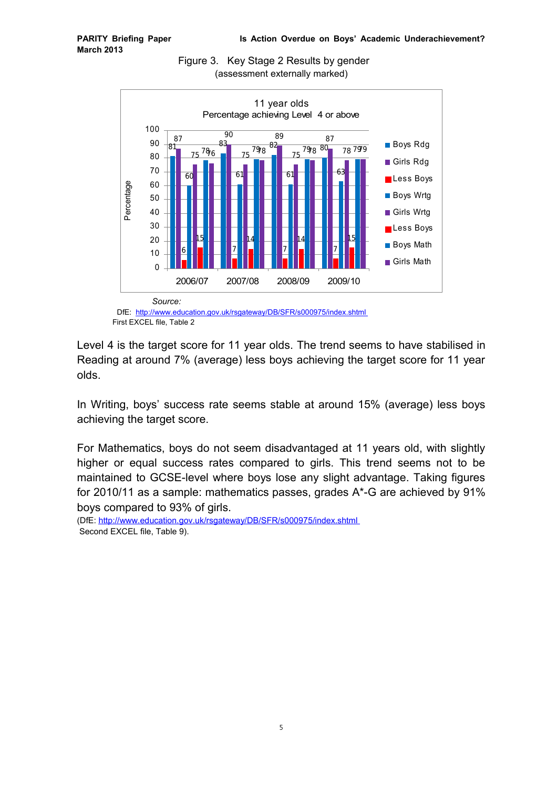

Figure 3. Key Stage 2 Results by gender (assessment externally marked)

Level 4 is the target score for 11 year olds. The trend seems to have stabilised in Reading at around 7% (average) less boys achieving the target score for 11 year olds.

In Writing, boys' success rate seems stable at around 15% (average) less boys achieving the target score.

For Mathematics, boys do not seem disadvantaged at 11 years old, with slightly higher or equal success rates compared to girls. This trend seems not to be maintained to GCSE-level where boys lose any slight advantage. Taking figures for 2010/11 as a sample: mathematics passes, grades A\*-G are achieved by 91% boys compared to 93% of girls.

(DfE:<http://www.education.gov.uk/rsgateway/DB/SFR/s000975/index.shtml> Second EXCEL file, Table 9).

DfE: <http://www.education.gov.uk/rsgateway/DB/SFR/s000975/index.shtml> First EXCEL file, Table 2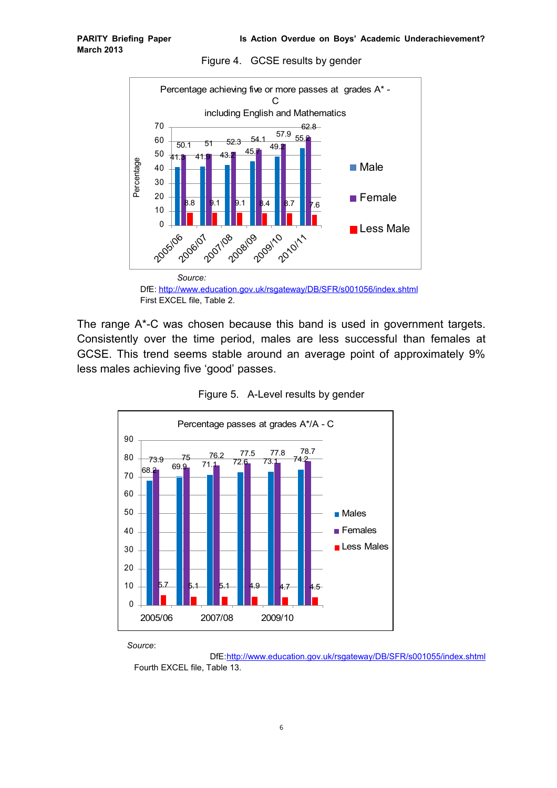Figure 4. GCSE results by gender



DfE:<http://www.education.gov.uk/rsgateway/DB/SFR/s001056/index.shtml> First EXCEL file, Table 2.

The range A\*-C was chosen because this band is used in government targets. Consistently over the time period, males are less successful than females at GCSE. This trend seems stable around an average point of approximately 9% less males achieving five 'good' passes.





*Source*:

 DfE[:http://www.education.gov.uk/rsgateway/DB/SFR/s001055/index.shtml](http://www.education.gov.uk/rsgateway/DB/SFR/s001055/index.shtml) Fourth EXCEL file, Table 13.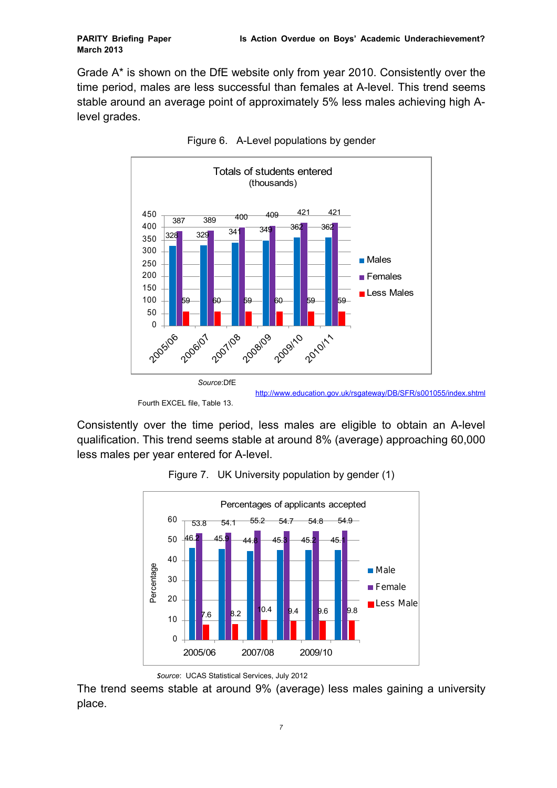Grade A\* is shown on the DfE website only from year 2010. Consistently over the time period, males are less successful than females at A-level. This trend seems stable around an average point of approximately 5% less males achieving high Alevel grades.





Consistently over the time period, less males are eligible to obtain an A-level qualification. This trend seems stable at around 8% (average) approaching 60,000 less males per year entered for A-level.



Figure 7. UK University population by gender (1)

The trend seems stable at around 9% (average) less males gaining a university place.

Fourth EXCEL file, Table 13.

<http://www.education.gov.uk/rsgateway/DB/SFR/s001055/index.shtml>

*source*: UCAS Statistical Services, July 2012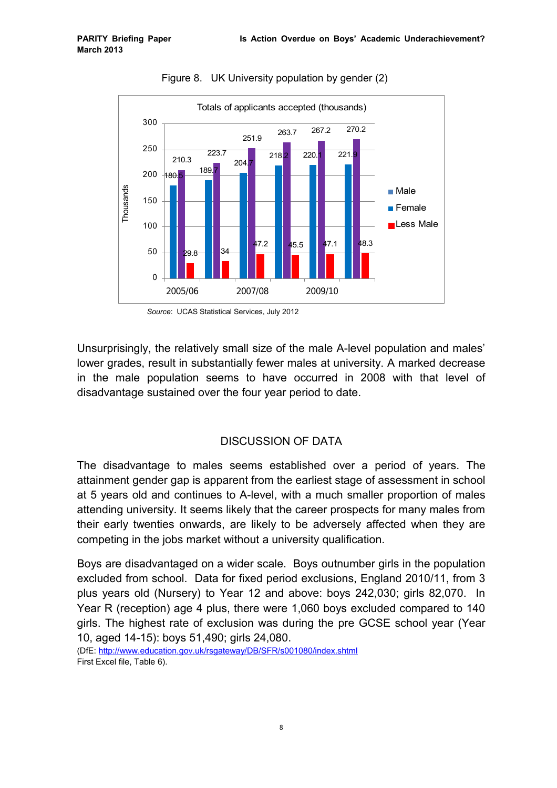

Figure 8. UK University population by gender (2)



Unsurprisingly, the relatively small size of the male A-level population and males' lower grades, result in substantially fewer males at university. A marked decrease in the male population seems to have occurred in 2008 with that level of disadvantage sustained over the four year period to date.

## DISCUSSION OF DATA

The disadvantage to males seems established over a period of years. The attainment gender gap is apparent from the earliest stage of assessment in school at 5 years old and continues to A-level, with a much smaller proportion of males attending university. It seems likely that the career prospects for many males from their early twenties onwards, are likely to be adversely affected when they are competing in the jobs market without a university qualification.

Boys are disadvantaged on a wider scale. Boys outnumber girls in the population excluded from school. Data for fixed period exclusions, England 2010/11, from 3 plus years old (Nursery) to Year 12 and above: boys 242,030; girls 82,070. In Year R (reception) age 4 plus, there were 1,060 boys excluded compared to 140 girls. The highest rate of exclusion was during the pre GCSE school year (Year 10, aged 14-15): boys 51,490; girls 24,080.

(DfE:<http://www.education.gov.uk/rsgateway/DB/SFR/s001080/index.shtml> First Excel file, Table 6).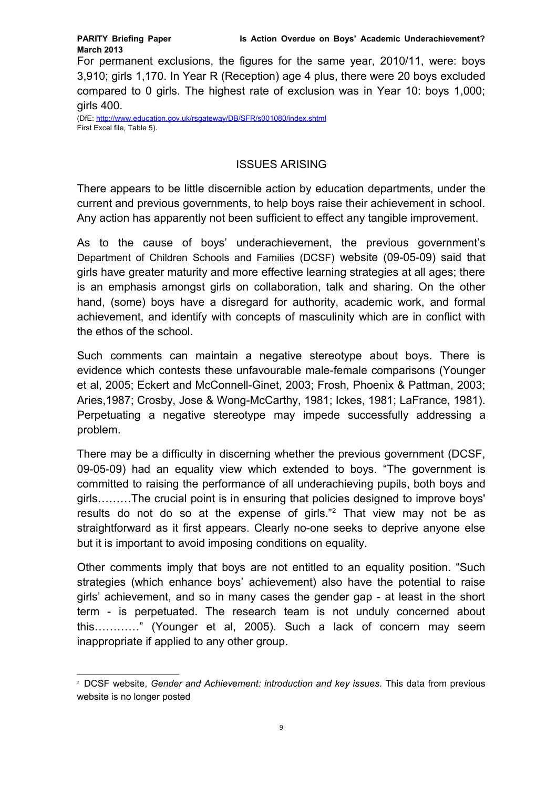For permanent exclusions, the figures for the same year, 2010/11, were: boys 3,910; girls 1,170. In Year R (Reception) age 4 plus, there were 20 boys excluded compared to 0 girls. The highest rate of exclusion was in Year 10: boys 1,000; girls 400.

(DfE:<http://www.education.gov.uk/rsgateway/DB/SFR/s001080/index.shtml> First Excel file, Table 5).

## ISSUES ARISING

There appears to be little discernible action by education departments, under the current and previous governments, to help boys raise their achievement in school. Any action has apparently not been sufficient to effect any tangible improvement.

As to the cause of boys' underachievement, the previous government's Department of Children Schools and Families (DCSF) website (09-05-09) said that girls have greater maturity and more effective learning strategies at all ages; there is an emphasis amongst girls on collaboration, talk and sharing. On the other hand, (some) boys have a disregard for authority, academic work, and formal achievement, and identify with concepts of masculinity which are in conflict with the ethos of the school.

Such comments can maintain a negative stereotype about boys. There is evidence which contests these unfavourable male-female comparisons (Younger et al, 2005; Eckert and McConnell-Ginet, 2003; Frosh, Phoenix & Pattman, 2003; Aries,1987; Crosby, Jose & Wong-McCarthy, 1981; Ickes, 1981; LaFrance, 1981). Perpetuating a negative stereotype may impede successfully addressing a problem.

There may be a difficulty in discerning whether the previous government (DCSF, 09-05-09) had an equality view which extended to boys. "The government is committed to raising the performance of all underachieving pupils, both boys and girls………The crucial point is in ensuring that policies designed to improve boys' results do not do so at the expense of girls."<sup>[2](#page-8-0)</sup> That view may not be as straightforward as it first appears. Clearly no-one seeks to deprive anyone else but it is important to avoid imposing conditions on equality.

Other comments imply that boys are not entitled to an equality position. "Such strategies (which enhance boys' achievement) also have the potential to raise girls' achievement, and so in many cases the gender gap - at least in the short term - is perpetuated. The research team is not unduly concerned about this…………" (Younger et al, 2005). Such a lack of concern may seem inappropriate if applied to any other group.

<span id="page-8-0"></span><sup>2</sup> DCSF website, *Gender and Achievement: introduction and key issues*. This data from previous website is no longer posted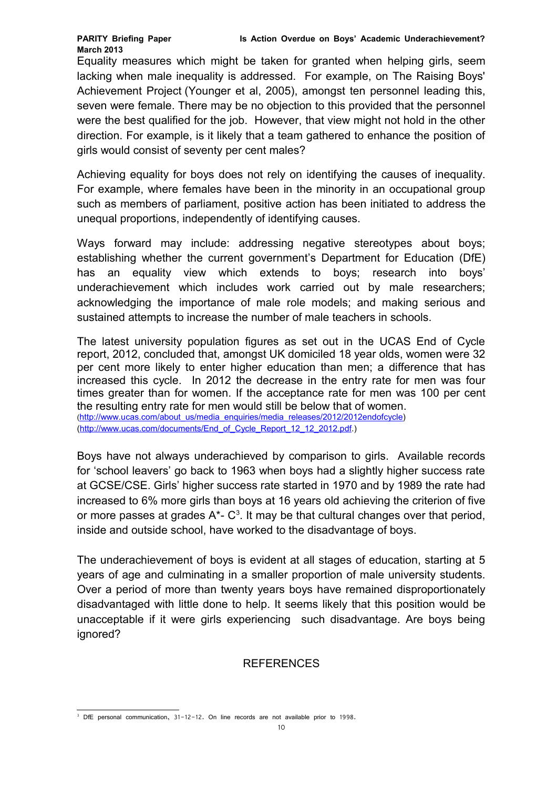Equality measures which might be taken for granted when helping girls, seem lacking when male inequality is addressed. For example, on The Raising Boys' Achievement Project (Younger et al, 2005), amongst ten personnel leading this, seven were female. There may be no objection to this provided that the personnel were the best qualified for the job. However, that view might not hold in the other direction. For example, is it likely that a team gathered to enhance the position of girls would consist of seventy per cent males?

Achieving equality for boys does not rely on identifying the causes of inequality. For example, where females have been in the minority in an occupational group such as members of parliament, positive action has been initiated to address the unequal proportions, independently of identifying causes.

Ways forward may include: addressing negative stereotypes about boys; establishing whether the current government's Department for Education (DfE) has an equality view which extends to boys; research into boys' underachievement which includes work carried out by male researchers; acknowledging the importance of male role models; and making serious and sustained attempts to increase the number of male teachers in schools.

The latest university population figures as set out in the UCAS End of Cycle report, 2012, concluded that, amongst UK domiciled 18 year olds, women were 32 per cent more likely to enter higher education than men; a difference that has increased this cycle. In 2012 the decrease in the entry rate for men was four times greater than for women. If the acceptance rate for men was 100 per cent the resulting entry rate for men would still be below that of women. ([http://www.ucas.com/about\\_us/media\\_enquiries/media\\_releases/2012/2012endofcycle\)](http://www.ucas.com/about_us/media_enquiries/media_releases/2012/2012endofcycle)

[\(http://www.ucas.com/documents/End\\_of\\_Cycle\\_Report\\_12\\_12\\_2012.pdf.](http://www.ucas.com/documents/End_of_Cycle_Report_12_12_2012.pdf))

Boys have not always underachieved by comparison to girls. Available records for 'school leavers' go back to 1963 when boys had a slightly higher success rate at GCSE/CSE. Girls' higher success rate started in 1970 and by 1989 the rate had increased to 6% more girls than boys at 16 years old achieving the criterion of five or more passes at grades  $A^*$ -  $C^3$  $C^3$ . It may be that cultural changes over that period, inside and outside school, have worked to the disadvantage of boys.

The underachievement of boys is evident at all stages of education, starting at 5 years of age and culminating in a smaller proportion of male university students. Over a period of more than twenty years boys have remained disproportionately disadvantaged with little done to help. It seems likely that this position would be unacceptable if it were girls experiencing such disadvantage. Are boys being ignored?

## REFERENCES

<span id="page-9-0"></span><sup>&</sup>lt;sup>3</sup> DfE personal communication, 31-12-12. On line records are not available prior to 1998.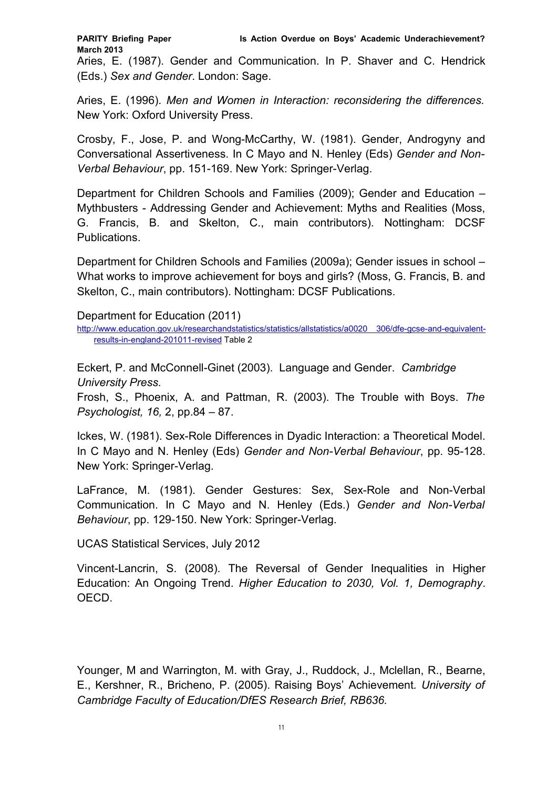Aries, E. (1987). Gender and Communication. In P. Shaver and C. Hendrick (Eds.) *Sex and Gender*. London: Sage.

Aries, E. (1996). *Men and Women in Interaction: reconsidering the differences.* New York: Oxford University Press.

Crosby, F., Jose, P. and Wong-McCarthy, W. (1981). Gender, Androgyny and Conversational Assertiveness. In C Mayo and N. Henley (Eds) *Gender and Non-Verbal Behaviour*, pp. 151-169. New York: Springer-Verlag.

Department for Children Schools and Families (2009); Gender and Education – Mythbusters - Addressing Gender and Achievement: Myths and Realities (Moss, G. Francis, B. and Skelton, C., main contributors). Nottingham: DCSF Publications.

Department for Children Schools and Families (2009a); Gender issues in school – What works to improve achievement for boys and girls? (Moss, G. Francis, B. and Skelton, C., main contributors). Nottingham: DCSF Publications.

Department for Education (2011)

[http://www.education.gov.uk/researchandstatistics/statistics/allstatistics/a0020 306/dfe-gcse-and-equivalent](http://www.education.gov.uk/researchandstatistics/statistics/allstatistics/a0020%20306/dfe-gcse-and-equivalent-results-in-england-201011-revised)[results-in-england-201011-revised](http://www.education.gov.uk/researchandstatistics/statistics/allstatistics/a0020%20306/dfe-gcse-and-equivalent-results-in-england-201011-revised) Table 2

Eckert, P. and McConnell-Ginet (2003). Language and Gender. *Cambridge University Press.*

Frosh, S., Phoenix, A. and Pattman, R. (2003). The Trouble with Boys. *The Psychologist, 16,* 2, pp.84 – 87.

Ickes, W. (1981). Sex-Role Differences in Dyadic Interaction: a Theoretical Model. In C Mayo and N. Henley (Eds) *Gender and Non-Verbal Behaviour*, pp. 95-128. New York: Springer-Verlag.

LaFrance, M. (1981). Gender Gestures: Sex, Sex-Role and Non-Verbal Communication. In C Mayo and N. Henley (Eds.) *Gender and Non-Verbal Behaviour*, pp. 129-150. New York: Springer-Verlag.

UCAS Statistical Services, July 2012

Vincent-Lancrin, S. (2008). The Reversal of Gender Inequalities in Higher Education: An Ongoing Trend. *Higher Education to 2030, Vol. 1, Demography*. OECD.

Younger, M and Warrington, M. with Gray, J., Ruddock, J., Mclellan, R., Bearne, E., Kershner, R., Bricheno, P. (2005). Raising Boys' Achievement*. University of Cambridge Faculty of Education/DfES Research Brief, RB636.*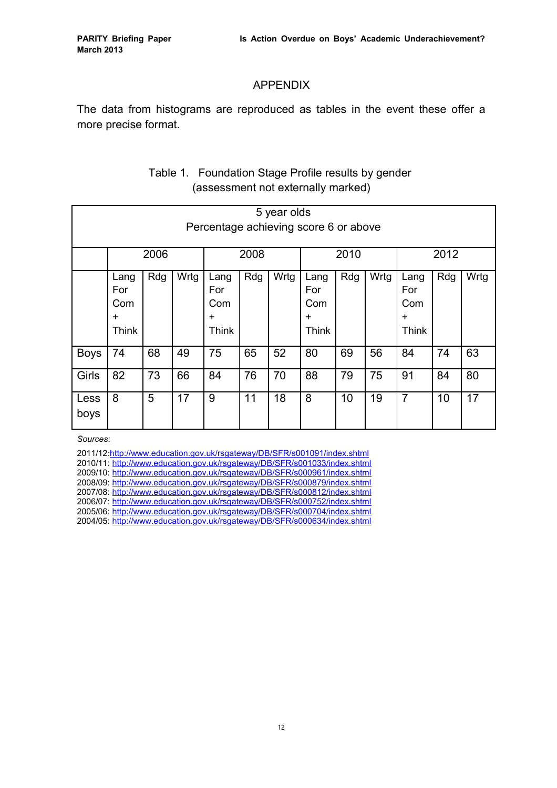## APPENDIX

The data from histograms are reproduced as tables in the event these offer a more precise format.

|              | 5 year olds<br>Percentage achieving score 6 or above |     |      |                                          |     |      |                                                 |     |      |                                                 |     |      |
|--------------|------------------------------------------------------|-----|------|------------------------------------------|-----|------|-------------------------------------------------|-----|------|-------------------------------------------------|-----|------|
|              | 2006                                                 |     |      | 2008                                     |     | 2010 |                                                 |     | 2012 |                                                 |     |      |
|              | Lang<br>For<br>Com<br>+<br>Think                     | Rdg | Wrtg | Lang<br>For<br>Com<br>$\ddot{}$<br>Think | Rdg | Wrtg | Lang<br>For<br>Com<br>$\ddot{}$<br><b>Think</b> | Rdg | Wrtg | Lang<br>For<br>Com<br>$\ddot{}$<br><b>Think</b> | Rdg | Wrtg |
| <b>Boys</b>  | 74                                                   | 68  | 49   | 75                                       | 65  | 52   | 80                                              | 69  | 56   | 84                                              | 74  | 63   |
| Girls        | 82                                                   | 73  | 66   | 84                                       | 76  | 70   | 88                                              | 79  | 75   | 91                                              | 84  | 80   |
| Less<br>boys | 8                                                    | 5   | 17   | 9                                        | 11  | 18   | 8                                               | 10  | 19   | $\overline{7}$                                  | 10  | 17   |

## Table 1. Foundation Stage Profile results by gender (assessment not externally marked)

*Sources*:

2011/12:<http://www.education.gov.uk/rsgateway/DB/SFR/s001091/index.shtml> 2010/11:<http://www.education.gov.uk/rsgateway/DB/SFR/s001033/index.shtml> 2009/10:<http://www.education.gov.uk/rsgateway/DB/SFR/s000961/index.shtml> 2008/09:<http://www.education.gov.uk/rsgateway/DB/SFR/s000879/index.shtml> 2007/08:<http://www.education.gov.uk/rsgateway/DB/SFR/s000812/index.shtml> 2006/07:<http://www.education.gov.uk/rsgateway/DB/SFR/s000752/index.shtml> 2005/06:<http://www.education.gov.uk/rsgateway/DB/SFR/s000704/index.shtml> 2004/05:<http://www.education.gov.uk/rsgateway/DB/SFR/s000634/index.shtml>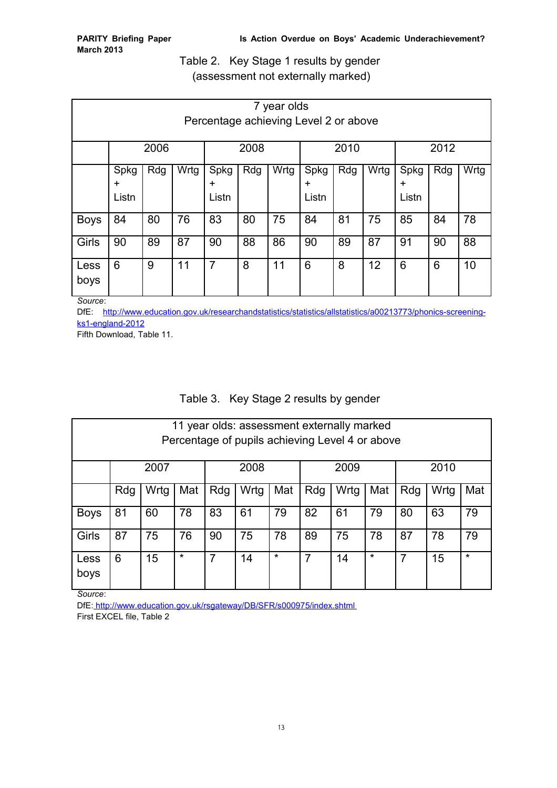Table 2. Key Stage 1 results by gender (assessment not externally marked)

| 7 year olds<br>Percentage achieving Level 2 or above |                     |     |      |                     |     |      |                            |     |      |                            |     |      |
|------------------------------------------------------|---------------------|-----|------|---------------------|-----|------|----------------------------|-----|------|----------------------------|-----|------|
|                                                      | 2006                |     |      | 2008                |     |      | 2010                       |     |      | 2012                       |     |      |
|                                                      | Spkg<br>÷.<br>Listn | Rdg | Wrtg | Spkg<br>÷.<br>Listn | Rdg | Wrtg | Spkg<br>$\ddot{}$<br>Listn | Rdg | Wrtg | Spkg<br>$\ddot{}$<br>Listn | Rdg | Wrtg |
| <b>Boys</b>                                          | 84                  | 80  | 76   | 83                  | 80  | 75   | 84                         | 81  | 75   | 85                         | 84  | 78   |
| Girls                                                | 90                  | 89  | 87   | 90                  | 88  | 86   | 90                         | 89  | 87   | 91                         | 90  | 88   |
| Less<br>boys                                         | 6                   | 9   | 11   | 7                   | 8   | 11   | 6                          | 8   | 12   | 6                          | 6   | 10   |

*Source*:

DfE: [http://www.education.gov.uk/researchandstatistics/statistics/allstatistics/a00213773/phonics-screening](http://www.education.gov.uk/researchandstatistics/statistics/allstatistics/a00213773/phonics-screening-ks1-england-2012)[ks1-england-2012](http://www.education.gov.uk/researchandstatistics/statistics/allstatistics/a00213773/phonics-screening-ks1-england-2012)

Fifth Download, Table 11.

# Table 3. Key Stage 2 results by gender

| 11 year olds: assessment externally marked<br>Percentage of pupils achieving Level 4 or above |      |                                                                            |     |     |              |     |     |      |     |     |      |     |
|-----------------------------------------------------------------------------------------------|------|----------------------------------------------------------------------------|-----|-----|--------------|-----|-----|------|-----|-----|------|-----|
|                                                                                               | 2007 |                                                                            |     |     | 2008<br>2009 |     |     | 2010 |     |     |      |     |
|                                                                                               | Rdg  | Wrtg                                                                       | Mat | Rdg | Wrtg         | Mat | Rdg | Wrtg | Mat | Rdg | Wrtg | Mat |
| <b>Boys</b>                                                                                   | 81   | 60                                                                         | 78  | 83  | 61           | 79  | 82  | 61   | 79  | 80  | 63   | 79  |
| Girls                                                                                         | 87   | 75                                                                         | 76  | 90  | 75           | 78  | 89  | 75   | 78  | 87  | 78   | 79  |
| Less<br>boys<br>$\sim$                                                                        | 6    | $\star$<br>$\star$<br>$\star$<br>$\star$<br>15<br>7<br>7<br>14<br>14<br>15 |     |     |              |     |     |      |     |     |      |     |

*Source*:

DfE:<http://www.education.gov.uk/rsgateway/DB/SFR/s000975/index.shtml> First EXCEL file, Table 2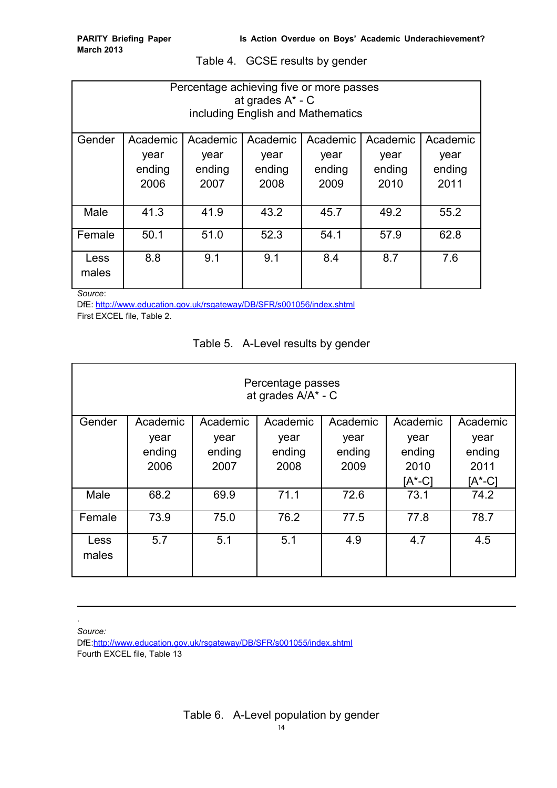Table 4. GCSE results by gender

| Percentage achieving five or more passes<br>at grades A* - C<br>including English and Mathematics |          |          |          |          |          |          |  |  |  |
|---------------------------------------------------------------------------------------------------|----------|----------|----------|----------|----------|----------|--|--|--|
| Gender                                                                                            | Academic | Academic | Academic | Academic | Academic | Academic |  |  |  |
|                                                                                                   | year     | year     | year     | year     | year     | year     |  |  |  |
|                                                                                                   | ending   | ending   | ending   | ending   | ending   | ending   |  |  |  |
|                                                                                                   | 2006     | 2007     | 2008     | 2009     | 2010     | 2011     |  |  |  |
| Male                                                                                              | 41.3     | 41.9     | 43.2     | 45.7     | 49.2     | 55.2     |  |  |  |
| Female                                                                                            | 50.1     | 51.0     | 52.3     | 54.1     | 57.9     | 62.8     |  |  |  |
| Less<br>males                                                                                     | 8.8      | 9.1      | 9.1      | 8.4      | 8.7      | 7.6      |  |  |  |

*Source*:

DfE:<http://www.education.gov.uk/rsgateway/DB/SFR/s001056/index.shtml>

First EXCEL file, Table 2.

| Table 5. A-Level results by gender |  |  |  |  |
|------------------------------------|--|--|--|--|
|------------------------------------|--|--|--|--|

| Percentage passes<br>at grades A/A* - C |          |          |          |          |                 |          |  |  |  |
|-----------------------------------------|----------|----------|----------|----------|-----------------|----------|--|--|--|
| Gender                                  | Academic | Academic | Academic | Academic | Academic        | Academic |  |  |  |
|                                         | year     | year     | year     | year     | year            | year     |  |  |  |
|                                         | ending   | ending   | ending   | ending   | ending          | ending   |  |  |  |
|                                         | 2006     | 2007     | 2008     | 2009     | 2010            | 2011     |  |  |  |
|                                         |          |          |          |          | $[A^{\ast}$ -C] | [A*-C]   |  |  |  |
| Male                                    | 68.2     | 69.9     | 71.1     | 72.6     | 73.1            | 74.2     |  |  |  |
| Female                                  | 73.9     | 75.0     | 76.2     | 77.5     | 77.8            | 78.7     |  |  |  |
| Less<br>males                           | 5.7      | 5.1      | 5.1      | 4.9      | 4.7             | 4.5      |  |  |  |

*Source:*

.

DfE[:http://www.education.gov.uk/rsgateway/DB/SFR/s001055/index.shtml](http://www.education.gov.uk/rsgateway/DB/SFR/s001055/index.shtml) Fourth EXCEL file, Table 13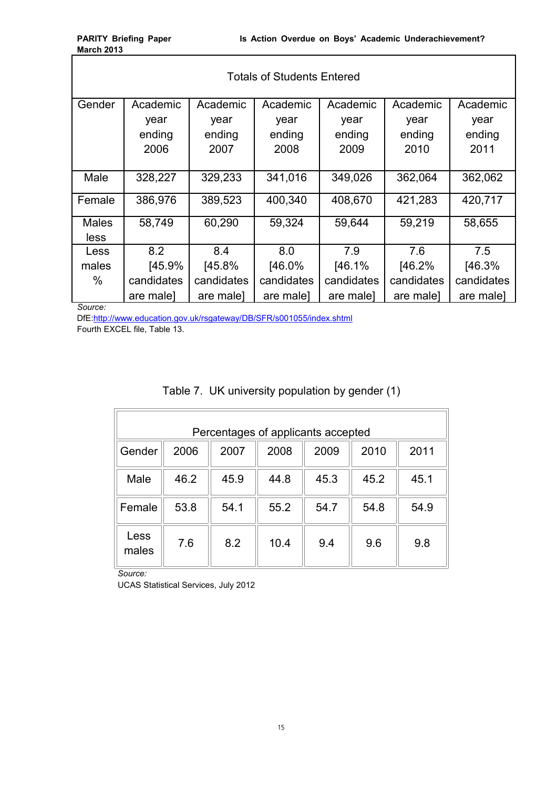| <b>Totals of Students Entered</b> |            |            |            |            |            |            |  |  |  |
|-----------------------------------|------------|------------|------------|------------|------------|------------|--|--|--|
| Gender                            | Academic   | Academic   | Academic   | Academic   | Academic   | Academic   |  |  |  |
|                                   | year       | year       | year       | year       | year       | year       |  |  |  |
|                                   | ending     | ending     | ending     | ending     | ending     | ending     |  |  |  |
|                                   | 2006       | 2007       | 2008       | 2009       | 2010       | 2011       |  |  |  |
|                                   |            |            |            |            |            |            |  |  |  |
| Male                              | 328,227    | 329,233    | 341,016    | 349,026    | 362,064    | 362,062    |  |  |  |
| Female                            | 386,976    | 389,523    | 400,340    | 408,670    | 421,283    | 420,717    |  |  |  |
| <b>Males</b>                      | 58,749     | 60,290     | 59,324     | 59,644     | 59,219     | 58,655     |  |  |  |
| less                              |            |            |            |            |            |            |  |  |  |
| Less                              | 8.2        | 8.4        | 8.0        | 7.9        | 7.6        | 7.5        |  |  |  |
| males                             | [45.9%]    | [45.8%]    | [46.0%     | [46.1%]    | [46.2%]    | [46.3%]    |  |  |  |
| %                                 | candidates | candidates | candidates | candidates | candidates | candidates |  |  |  |
|                                   | are male]  | are male]  | are male]  | are male]  | are male]  | are male]  |  |  |  |

*Source:*

DfE[:http://www.education.gov.uk/rsgateway/DB/SFR/s001055/index.shtml](http://www.education.gov.uk/rsgateway/DB/SFR/s001055/index.shtml) Fourth EXCEL file, Table 13.

| Table 7. UK university population by gender (1) |  |  |
|-------------------------------------------------|--|--|
|                                                 |  |  |

| Percentages of applicants accepted |      |      |      |      |      |      |  |  |  |
|------------------------------------|------|------|------|------|------|------|--|--|--|
| Gender                             | 2006 | 2007 | 2008 | 2009 | 2010 | 2011 |  |  |  |
| Male                               | 46.2 | 45.9 | 44.8 | 45.3 | 45.2 | 45.1 |  |  |  |
| Female                             | 53.8 | 54.1 | 55.2 | 54.7 | 54.8 | 54.9 |  |  |  |
| Less<br>males                      | 7.6  | 8.2  | 10.4 | 9.4  | 9.6  | 9.8  |  |  |  |

*Source:* 

UCAS Statistical Services, July 2012